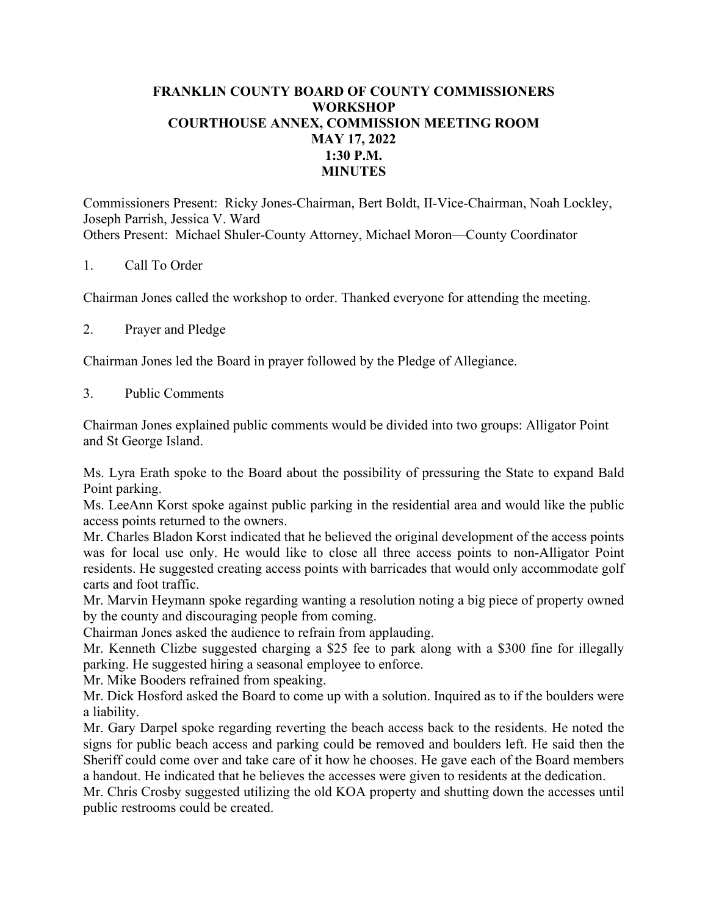## **FRANKLIN COUNTY BOARD OF COUNTY COMMISSIONERS WORKSHOP COURTHOUSE ANNEX, COMMISSION MEETING ROOM MAY 17, 2022 1:30 P.M. MINUTES**

Commissioners Present: Ricky Jones-Chairman, Bert Boldt, II-Vice-Chairman, Noah Lockley, Joseph Parrish, Jessica V. Ward Others Present: Michael Shuler-County Attorney, Michael Moron—County Coordinator

## 1. Call To Order

Chairman Jones called the workshop to order. Thanked everyone for attending the meeting.

2. Prayer and Pledge

Chairman Jones led the Board in prayer followed by the Pledge of Allegiance.

3. Public Comments

Chairman Jones explained public comments would be divided into two groups: Alligator Point and St George Island.

Ms. Lyra Erath spoke to the Board about the possibility of pressuring the State to expand Bald Point parking.

Ms. LeeAnn Korst spoke against public parking in the residential area and would like the public access points returned to the owners.

Mr. Charles Bladon Korst indicated that he believed the original development of the access points was for local use only. He would like to close all three access points to non-Alligator Point residents. He suggested creating access points with barricades that would only accommodate golf carts and foot traffic.

Mr. Marvin Heymann spoke regarding wanting a resolution noting a big piece of property owned by the county and discouraging people from coming.

Chairman Jones asked the audience to refrain from applauding.

Mr. Kenneth Clizbe suggested charging a \$25 fee to park along with a \$300 fine for illegally parking. He suggested hiring a seasonal employee to enforce.

Mr. Mike Booders refrained from speaking.

Mr. Dick Hosford asked the Board to come up with a solution. Inquired as to if the boulders were a liability.

Mr. Gary Darpel spoke regarding reverting the beach access back to the residents. He noted the signs for public beach access and parking could be removed and boulders left. He said then the Sheriff could come over and take care of it how he chooses. He gave each of the Board members a handout. He indicated that he believes the accesses were given to residents at the dedication.

Mr. Chris Crosby suggested utilizing the old KOA property and shutting down the accesses until public restrooms could be created.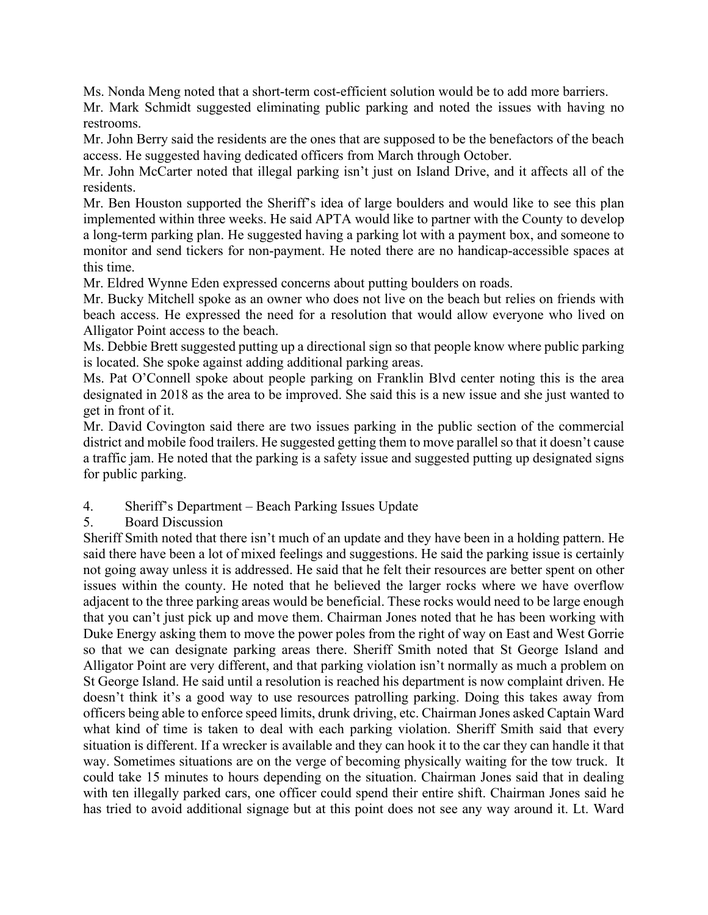Ms. Nonda Meng noted that a short-term cost-efficient solution would be to add more barriers.

Mr. Mark Schmidt suggested eliminating public parking and noted the issues with having no restrooms.

Mr. John Berry said the residents are the ones that are supposed to be the benefactors of the beach access. He suggested having dedicated officers from March through October.

Mr. John McCarter noted that illegal parking isn't just on Island Drive, and it affects all of the residents.

Mr. Ben Houston supported the Sheriff's idea of large boulders and would like to see this plan implemented within three weeks. He said APTA would like to partner with the County to develop a long-term parking plan. He suggested having a parking lot with a payment box, and someone to monitor and send tickers for non-payment. He noted there are no handicap-accessible spaces at this time.

Mr. Eldred Wynne Eden expressed concerns about putting boulders on roads.

Mr. Bucky Mitchell spoke as an owner who does not live on the beach but relies on friends with beach access. He expressed the need for a resolution that would allow everyone who lived on Alligator Point access to the beach.

Ms. Debbie Brett suggested putting up a directional sign so that people know where public parking is located. She spoke against adding additional parking areas.

Ms. Pat O'Connell spoke about people parking on Franklin Blvd center noting this is the area designated in 2018 as the area to be improved. She said this is a new issue and she just wanted to get in front of it.

Mr. David Covington said there are two issues parking in the public section of the commercial district and mobile food trailers. He suggested getting them to move parallel so that it doesn't cause a traffic jam. He noted that the parking is a safety issue and suggested putting up designated signs for public parking.

- 4. Sheriff's Department Beach Parking Issues Update
- 5. Board Discussion

Sheriff Smith noted that there isn't much of an update and they have been in a holding pattern. He said there have been a lot of mixed feelings and suggestions. He said the parking issue is certainly not going away unless it is addressed. He said that he felt their resources are better spent on other issues within the county. He noted that he believed the larger rocks where we have overflow adjacent to the three parking areas would be beneficial. These rocks would need to be large enough that you can't just pick up and move them. Chairman Jones noted that he has been working with Duke Energy asking them to move the power poles from the right of way on East and West Gorrie so that we can designate parking areas there. Sheriff Smith noted that St George Island and Alligator Point are very different, and that parking violation isn't normally as much a problem on St George Island. He said until a resolution is reached his department is now complaint driven. He doesn't think it's a good way to use resources patrolling parking. Doing this takes away from officers being able to enforce speed limits, drunk driving, etc. Chairman Jones asked Captain Ward what kind of time is taken to deal with each parking violation. Sheriff Smith said that every situation is different. If a wrecker is available and they can hook it to the car they can handle it that way. Sometimes situations are on the verge of becoming physically waiting for the tow truck. It could take 15 minutes to hours depending on the situation. Chairman Jones said that in dealing with ten illegally parked cars, one officer could spend their entire shift. Chairman Jones said he has tried to avoid additional signage but at this point does not see any way around it. Lt. Ward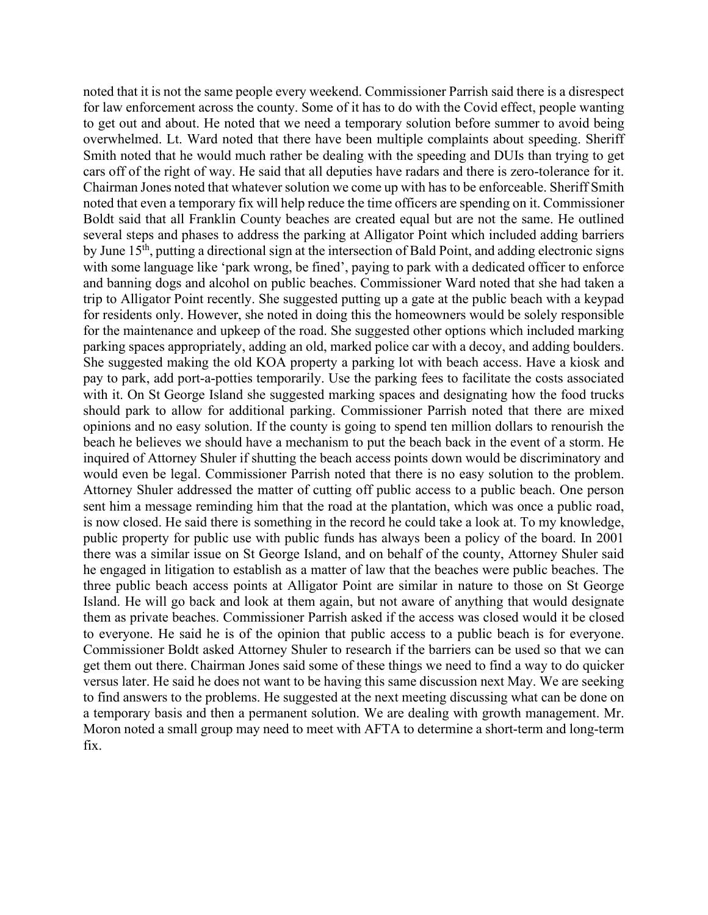noted that it is not the same people every weekend. Commissioner Parrish said there is a disrespect for law enforcement across the county. Some of it has to do with the Covid effect, people wanting to get out and about. He noted that we need a temporary solution before summer to avoid being overwhelmed. Lt. Ward noted that there have been multiple complaints about speeding. Sheriff Smith noted that he would much rather be dealing with the speeding and DUIs than trying to get cars off of the right of way. He said that all deputies have radars and there is zero-tolerance for it. Chairman Jones noted that whatever solution we come up with has to be enforceable. Sheriff Smith noted that even a temporary fix will help reduce the time officers are spending on it. Commissioner Boldt said that all Franklin County beaches are created equal but are not the same. He outlined several steps and phases to address the parking at Alligator Point which included adding barriers by June 15th, putting a directional sign at the intersection of Bald Point, and adding electronic signs with some language like 'park wrong, be fined', paying to park with a dedicated officer to enforce and banning dogs and alcohol on public beaches. Commissioner Ward noted that she had taken a trip to Alligator Point recently. She suggested putting up a gate at the public beach with a keypad for residents only. However, she noted in doing this the homeowners would be solely responsible for the maintenance and upkeep of the road. She suggested other options which included marking parking spaces appropriately, adding an old, marked police car with a decoy, and adding boulders. She suggested making the old KOA property a parking lot with beach access. Have a kiosk and pay to park, add port-a-potties temporarily. Use the parking fees to facilitate the costs associated with it. On St George Island she suggested marking spaces and designating how the food trucks should park to allow for additional parking. Commissioner Parrish noted that there are mixed opinions and no easy solution. If the county is going to spend ten million dollars to renourish the beach he believes we should have a mechanism to put the beach back in the event of a storm. He inquired of Attorney Shuler if shutting the beach access points down would be discriminatory and would even be legal. Commissioner Parrish noted that there is no easy solution to the problem. Attorney Shuler addressed the matter of cutting off public access to a public beach. One person sent him a message reminding him that the road at the plantation, which was once a public road, is now closed. He said there is something in the record he could take a look at. To my knowledge, public property for public use with public funds has always been a policy of the board. In 2001 there was a similar issue on St George Island, and on behalf of the county, Attorney Shuler said he engaged in litigation to establish as a matter of law that the beaches were public beaches. The three public beach access points at Alligator Point are similar in nature to those on St George Island. He will go back and look at them again, but not aware of anything that would designate them as private beaches. Commissioner Parrish asked if the access was closed would it be closed to everyone. He said he is of the opinion that public access to a public beach is for everyone. Commissioner Boldt asked Attorney Shuler to research if the barriers can be used so that we can get them out there. Chairman Jones said some of these things we need to find a way to do quicker versus later. He said he does not want to be having this same discussion next May. We are seeking to find answers to the problems. He suggested at the next meeting discussing what can be done on a temporary basis and then a permanent solution. We are dealing with growth management. Mr. Moron noted a small group may need to meet with AFTA to determine a short-term and long-term fix.